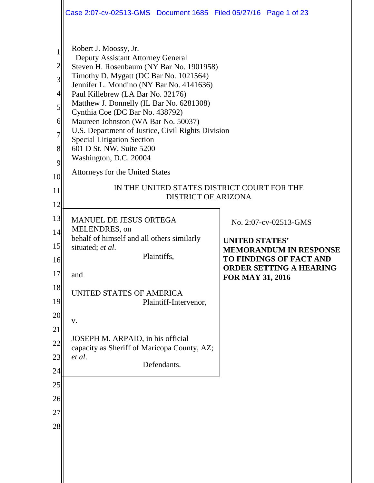|                                                         | Case 2:07-cv-02513-GMS  Document 1685  Filed 05/27/16  Page 1 of 23                                                                                                                                                                                                                                                                                                                                                                                                                                                                        |                                                           |  |  |  |
|---------------------------------------------------------|--------------------------------------------------------------------------------------------------------------------------------------------------------------------------------------------------------------------------------------------------------------------------------------------------------------------------------------------------------------------------------------------------------------------------------------------------------------------------------------------------------------------------------------------|-----------------------------------------------------------|--|--|--|
| $\overline{c}$<br>3<br>4<br>5<br>6<br>7<br>8<br>9<br>10 | Robert J. Moossy, Jr.<br>Deputy Assistant Attorney General<br>Steven H. Rosenbaum (NY Bar No. 1901958)<br>Timothy D. Mygatt (DC Bar No. 1021564)<br>Jennifer L. Mondino (NY Bar No. 4141636)<br>Paul Killebrew (LA Bar No. 32176)<br>Matthew J. Donnelly (IL Bar No. 6281308)<br>Cynthia Coe (DC Bar No. 438792)<br>Maureen Johnston (WA Bar No. 50037)<br>U.S. Department of Justice, Civil Rights Division<br><b>Special Litigation Section</b><br>601 D St. NW, Suite 5200<br>Washington, D.C. 20004<br>Attorneys for the United States |                                                           |  |  |  |
| 11                                                      | IN THE UNITED STATES DISTRICT COURT FOR THE<br><b>DISTRICT OF ARIZONA</b>                                                                                                                                                                                                                                                                                                                                                                                                                                                                  |                                                           |  |  |  |
| 12<br>13                                                |                                                                                                                                                                                                                                                                                                                                                                                                                                                                                                                                            |                                                           |  |  |  |
| 14                                                      | <b>MANUEL DE JESUS ORTEGA</b><br>MELENDRES, on                                                                                                                                                                                                                                                                                                                                                                                                                                                                                             | No. 2:07-cv-02513-GMS                                     |  |  |  |
| 15                                                      | behalf of himself and all others similarly<br>situated; et al.                                                                                                                                                                                                                                                                                                                                                                                                                                                                             | <b>UNITED STATES'</b><br><b>MEMORANDUM IN RESPONSE</b>    |  |  |  |
| 16                                                      | Plaintiffs,                                                                                                                                                                                                                                                                                                                                                                                                                                                                                                                                | TO FINDINGS OF FACT AND<br><b>ORDER SETTING A HEARING</b> |  |  |  |
| 17                                                      | and                                                                                                                                                                                                                                                                                                                                                                                                                                                                                                                                        | FOR MAY 31, 2016                                          |  |  |  |
| 18<br>19                                                | UNITED STATES OF AMERICA<br>Plaintiff-Intervenor,                                                                                                                                                                                                                                                                                                                                                                                                                                                                                          |                                                           |  |  |  |
| 20<br>21                                                | ${\bf V}$ .                                                                                                                                                                                                                                                                                                                                                                                                                                                                                                                                |                                                           |  |  |  |
| 22                                                      | JOSEPH M. ARPAIO, in his official<br>capacity as Sheriff of Maricopa County, AZ;                                                                                                                                                                                                                                                                                                                                                                                                                                                           |                                                           |  |  |  |
| 23                                                      | et al.<br>Defendants.                                                                                                                                                                                                                                                                                                                                                                                                                                                                                                                      |                                                           |  |  |  |
| 24<br>25                                                |                                                                                                                                                                                                                                                                                                                                                                                                                                                                                                                                            |                                                           |  |  |  |
| 26                                                      |                                                                                                                                                                                                                                                                                                                                                                                                                                                                                                                                            |                                                           |  |  |  |
| 27                                                      |                                                                                                                                                                                                                                                                                                                                                                                                                                                                                                                                            |                                                           |  |  |  |
| 28                                                      |                                                                                                                                                                                                                                                                                                                                                                                                                                                                                                                                            |                                                           |  |  |  |
|                                                         |                                                                                                                                                                                                                                                                                                                                                                                                                                                                                                                                            |                                                           |  |  |  |
|                                                         |                                                                                                                                                                                                                                                                                                                                                                                                                                                                                                                                            |                                                           |  |  |  |
|                                                         |                                                                                                                                                                                                                                                                                                                                                                                                                                                                                                                                            |                                                           |  |  |  |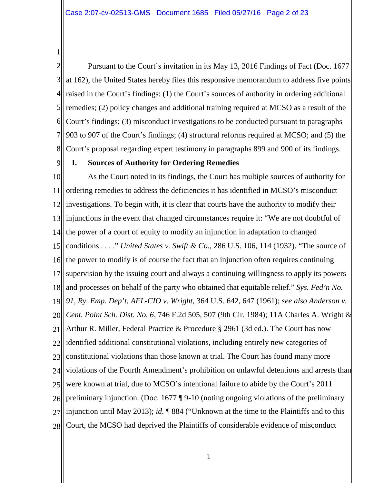1

2 3 4 5 6 7 8 Pursuant to the Court's invitation in its May 13, 2016 Findings of Fact (Doc. 1677 at 162), the United States hereby files this responsive memorandum to address five points raised in the Court's findings: (1) the Court's sources of authority in ordering additional remedies; (2) policy changes and additional training required at MCSO as a result of the Court's findings; (3) misconduct investigations to be conducted pursuant to paragraphs 903 to 907 of the Court's findings; (4) structural reforms required at MCSO; and (5) the Court's proposal regarding expert testimony in paragraphs 899 and 900 of its findings.

9

## **I. Sources of Authority for Ordering Remedies**

10 11 12 13 14 15 16 17 18 19 20 21 22 23 24 25 26 27 28 As the Court noted in its findings, the Court has multiple sources of authority for ordering remedies to address the deficiencies it has identified in MCSO's misconduct investigations. To begin with, it is clear that courts have the authority to modify their injunctions in the event that changed circumstances require it: "We are not doubtful of the power of a court of equity to modify an injunction in adaptation to changed conditions . . . ." *United States v. Swift & Co.*, 286 U.S. 106, 114 (1932). "The source of the power to modify is of course the fact that an injunction often requires continuing supervision by the issuing court and always a continuing willingness to apply its powers and processes on behalf of the party who obtained that equitable relief." *Sys. Fed'n No. 91, Ry. Emp. Dep't, AFL-CIO v. Wright*, 364 U.S. 642, 647 (1961); *see also Anderson v. Cent. Point Sch. Dist. No. 6*, 746 F.2d 505, 507 (9th Cir. 1984); 11A Charles A. Wright & Arthur R. Miller, Federal Practice & Procedure § 2961 (3d ed.). The Court has now identified additional constitutional violations, including entirely new categories of constitutional violations than those known at trial. The Court has found many more violations of the Fourth Amendment's prohibition on unlawful detentions and arrests than were known at trial, due to MCSO's intentional failure to abide by the Court's 2011 preliminary injunction. (Doc. 1677 ¶ 9-10 (noting ongoing violations of the preliminary injunction until May 2013); *id.* ¶ 884 ("Unknown at the time to the Plaintiffs and to this Court, the MCSO had deprived the Plaintiffs of considerable evidence of misconduct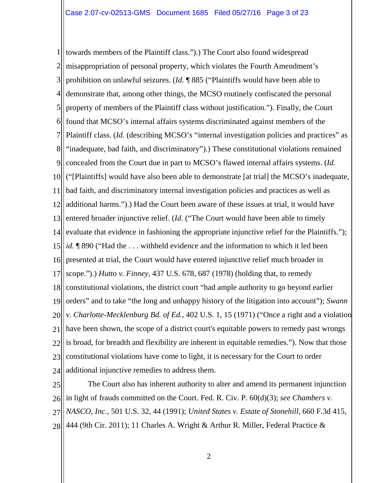1 2 3 4 5 6 7 8 9 10 ("[Plaintiffs] would have also been able to demonstrate [at trial] the MCSO's inadequate, 11 12 13 14 15 16 17 18 19 20 21 22 23 24 towards members of the Plaintiff class.").) The Court also found widespread misappropriation of personal property, which violates the Fourth Amendment's prohibition on unlawful seizures. (*Id.* ¶ 885 ("Plaintiffs would have been able to demonstrate that, among other things, the MCSO routinely confiscated the personal property of members of the Plaintiff class without justification."). Finally, the Court found that MCSO's internal affairs systems discriminated against members of the Plaintiff class. (*Id.* (describing MCSO's "internal investigation policies and practices" as "inadequate, bad faith, and discriminatory").) These constitutional violations remained concealed from the Court due in part to MCSO's flawed internal affairs systems. (*Id.* bad faith, and discriminatory internal investigation policies and practices as well as additional harms.").) Had the Court been aware of these issues at trial, it would have entered broader injunctive relief. (*Id.* ("The Court would have been able to timely evaluate that evidence in fashioning the appropriate injunctive relief for the Plaintiffs."); *id.* **¶** 890 ("Had the ... withheld evidence and the information to which it led been presented at trial, the Court would have entered injunctive relief much broader in scope.").) *Hutto v. Finney*, 437 U.S. 678, 687 (1978) (holding that, to remedy constitutional violations, the district court "had ample authority to go beyond earlier orders" and to take "the long and unhappy history of the litigation into account"); *Swann v. Charlotte-Mecklenburg Bd. of Ed.*, 402 U.S. 1, 15 (1971) ("Once a right and a violation have been shown, the scope of a district court's equitable powers to remedy past wrongs is broad, for breadth and flexibility are inherent in equitable remedies."). Now that those constitutional violations have come to light, it is necessary for the Court to order additional injunctive remedies to address them.

25 26 27 28 The Court also has inherent authority to alter and amend its permanent injunction in light of frauds committed on the Court. Fed. R. Civ. P. 60(d)(3); *see Chambers v. NASCO, Inc.*, 501 U.S. 32, 44 (1991); *United States v. Estate of Stonehill*, 660 F.3d 415, 444 (9th Cir. 2011); 11 Charles A. Wright & Arthur R. Miller, Federal Practice &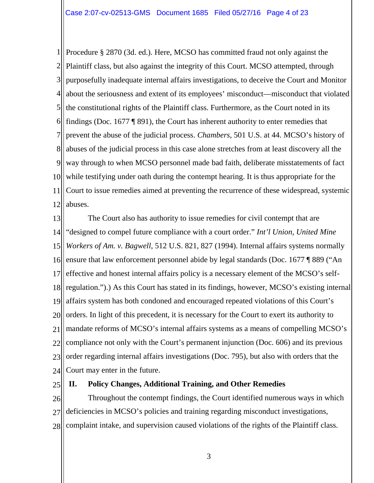1 2 3 4 5 6 7 8 9 10 11 12 Procedure § 2870 (3d. ed.). Here, MCSO has committed fraud not only against the Plaintiff class, but also against the integrity of this Court. MCSO attempted, through purposefully inadequate internal affairs investigations, to deceive the Court and Monitor about the seriousness and extent of its employees' misconduct—misconduct that violated the constitutional rights of the Plaintiff class. Furthermore, as the Court noted in its findings (Doc. 1677 ¶ 891), the Court has inherent authority to enter remedies that prevent the abuse of the judicial process. *Chambers*, 501 U.S. at 44. MCSO's history of abuses of the judicial process in this case alone stretches from at least discovery all the way through to when MCSO personnel made bad faith, deliberate misstatements of fact while testifying under oath during the contempt hearing. It is thus appropriate for the Court to issue remedies aimed at preventing the recurrence of these widespread, systemic abuses.

13 14 15 16 17 18 19 20 21 22 23 24 The Court also has authority to issue remedies for civil contempt that are "designed to compel future compliance with a court order." *Int'l Union, United Mine Workers of Am. v. Bagwell*, 512 U.S. 821, 827 (1994). Internal affairs systems normally ensure that law enforcement personnel abide by legal standards (Doc. 1677 ¶ 889 ("An effective and honest internal affairs policy is a necessary element of the MCSO's selfregulation.").) As this Court has stated in its findings, however, MCSO's existing internal affairs system has both condoned and encouraged repeated violations of this Court's orders. In light of this precedent, it is necessary for the Court to exert its authority to mandate reforms of MCSO's internal affairs systems as a means of compelling MCSO's compliance not only with the Court's permanent injunction (Doc. 606) and its previous order regarding internal affairs investigations (Doc. 795), but also with orders that the Court may enter in the future.

25

# **II. Policy Changes, Additional Training, and Other Remedies**

26 27 28 Throughout the contempt findings, the Court identified numerous ways in which deficiencies in MCSO's policies and training regarding misconduct investigations, complaint intake, and supervision caused violations of the rights of the Plaintiff class.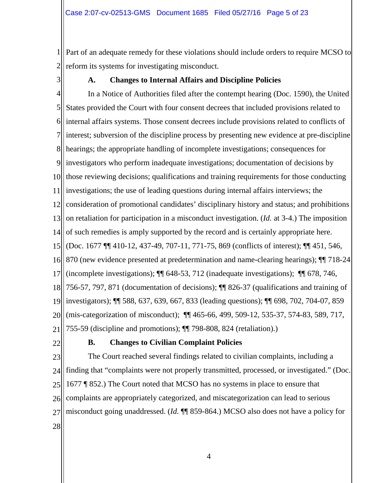1 2 Part of an adequate remedy for these violations should include orders to require MCSO to reform its systems for investigating misconduct.

3

# **A. Changes to Internal Affairs and Discipline Policies**

4 5 6 7 8 9 10 11 12 13 14 15 16 17 18 19 20 21 In a Notice of Authorities filed after the contempt hearing (Doc. 1590), the United States provided the Court with four consent decrees that included provisions related to internal affairs systems. Those consent decrees include provisions related to conflicts of interest; subversion of the discipline process by presenting new evidence at pre-discipline hearings; the appropriate handling of incomplete investigations; consequences for investigators who perform inadequate investigations; documentation of decisions by those reviewing decisions; qualifications and training requirements for those conducting investigations; the use of leading questions during internal affairs interviews; the consideration of promotional candidates' disciplinary history and status; and prohibitions on retaliation for participation in a misconduct investigation. (*Id.* at 3-4.) The imposition of such remedies is amply supported by the record and is certainly appropriate here. (Doc. 1677 ¶¶ 410-12, 437-49, 707-11, 771-75, 869 (conflicts of interest); ¶¶ 451, 546, 870 (new evidence presented at predetermination and name-clearing hearings); ¶¶ 718-24 (incomplete investigations); ¶¶ 648-53, 712 (inadequate investigations); ¶¶ 678, 746, 756-57, 797, 871 (documentation of decisions); ¶¶ 826-37 (qualifications and training of investigators); ¶¶ 588, 637, 639, 667, 833 (leading questions); ¶¶ 698, 702, 704-07, 859 (mis-categorization of misconduct); ¶¶ 465-66, 499, 509-12, 535-37, 574-83, 589, 717, 755-59 (discipline and promotions); ¶¶ 798-808, 824 (retaliation).)

22

# **B. Changes to Civilian Complaint Policies**

23 24 25 26 27 28 The Court reached several findings related to civilian complaints, including a finding that "complaints were not properly transmitted, processed, or investigated." (Doc. 1677 ¶ 852.) The Court noted that MCSO has no systems in place to ensure that complaints are appropriately categorized, and miscategorization can lead to serious misconduct going unaddressed. (*Id.* ¶¶ 859-864.) MCSO also does not have a policy for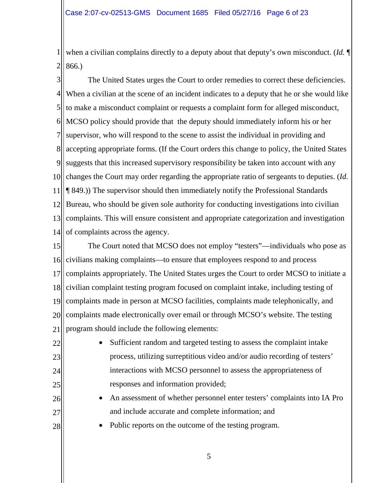1 2 when a civilian complains directly to a deputy about that deputy's own misconduct. (*Id.* ¶ 866.)

3 4 5 6 7 8 9 10 changes the Court may order regarding the appropriate ratio of sergeants to deputies. (*Id.* 11 12 13 14 The United States urges the Court to order remedies to correct these deficiencies. When a civilian at the scene of an incident indicates to a deputy that he or she would like to make a misconduct complaint or requests a complaint form for alleged misconduct, MCSO policy should provide that the deputy should immediately inform his or her supervisor, who will respond to the scene to assist the individual in providing and accepting appropriate forms. (If the Court orders this change to policy, the United States suggests that this increased supervisory responsibility be taken into account with any ¶ 849.)) The supervisor should then immediately notify the Professional Standards Bureau, who should be given sole authority for conducting investigations into civilian complaints. This will ensure consistent and appropriate categorization and investigation of complaints across the agency.

15 16 17 18 19 20 21 The Court noted that MCSO does not employ "testers"—individuals who pose as civilians making complaints—to ensure that employees respond to and process complaints appropriately. The United States urges the Court to order MCSO to initiate a civilian complaint testing program focused on complaint intake, including testing of complaints made in person at MCSO facilities, complaints made telephonically, and complaints made electronically over email or through MCSO's website. The testing program should include the following elements:

- Sufficient random and targeted testing to assess the complaint intake process, utilizing surreptitious video and/or audio recording of testers' interactions with MCSO personnel to assess the appropriateness of responses and information provided;
	- An assessment of whether personnel enter testers' complaints into IA Pro and include accurate and complete information; and
	- Public reports on the outcome of the testing program.

22

23

24

25

26

27

28

5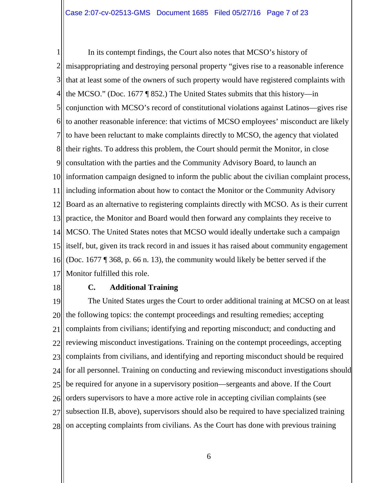1 2 3 4 5 6 7 8 9 10 11 12 13 14 15 16 17 In its contempt findings, the Court also notes that MCSO's history of misappropriating and destroying personal property "gives rise to a reasonable inference that at least some of the owners of such property would have registered complaints with the MCSO." (Doc. 1677 ¶ 852.) The United States submits that this history—in conjunction with MCSO's record of constitutional violations against Latinos—gives rise to another reasonable inference: that victims of MCSO employees' misconduct are likely to have been reluctant to make complaints directly to MCSO, the agency that violated their rights. To address this problem, the Court should permit the Monitor, in close consultation with the parties and the Community Advisory Board, to launch an information campaign designed to inform the public about the civilian complaint process, including information about how to contact the Monitor or the Community Advisory Board as an alternative to registering complaints directly with MCSO. As is their current practice, the Monitor and Board would then forward any complaints they receive to MCSO. The United States notes that MCSO would ideally undertake such a campaign itself, but, given its track record in and issues it has raised about community engagement (Doc. 1677 ¶ 368, p. 66 n. 13), the community would likely be better served if the Monitor fulfilled this role.

18

### **C. Additional Training**

19 20 21 22 23 24 25 26 27 28 The United States urges the Court to order additional training at MCSO on at least the following topics: the contempt proceedings and resulting remedies; accepting complaints from civilians; identifying and reporting misconduct; and conducting and reviewing misconduct investigations. Training on the contempt proceedings, accepting complaints from civilians, and identifying and reporting misconduct should be required for all personnel. Training on conducting and reviewing misconduct investigations should be required for anyone in a supervisory position—sergeants and above. If the Court orders supervisors to have a more active role in accepting civilian complaints (see subsection II.B, above), supervisors should also be required to have specialized training on accepting complaints from civilians. As the Court has done with previous training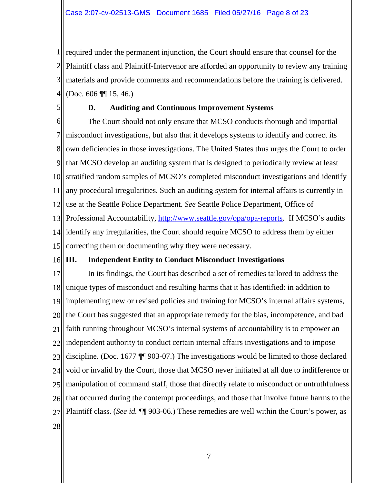1 2 3 4 required under the permanent injunction, the Court should ensure that counsel for the Plaintiff class and Plaintiff-Intervenor are afforded an opportunity to review any training materials and provide comments and recommendations before the training is delivered. (Doc. 606 ¶¶ 15, 46.)

5

# **D. Auditing and Continuous Improvement Systems**

6 7 8 9 10 11 12 13 14 identify any irregularities, the Court should require MCSO to address them by either 15 The Court should not only ensure that MCSO conducts thorough and impartial misconduct investigations, but also that it develops systems to identify and correct its own deficiencies in those investigations. The United States thus urges the Court to order that MCSO develop an auditing system that is designed to periodically review at least stratified random samples of MCSO's completed misconduct investigations and identify any procedural irregularities. Such an auditing system for internal affairs is currently in use at the Seattle Police Department. *See* Seattle Police Department, Office of Professional Accountability, [http://www.seattle.gov/opa/opa-reports.](http://www.seattle.gov/opa/opa-reports) If MCSO's audits correcting them or documenting why they were necessary.

### 16 **III. Independent Entity to Conduct Misconduct Investigations**

17 18 19 20 21 22 23 24 25 26 27 28 In its findings, the Court has described a set of remedies tailored to address the unique types of misconduct and resulting harms that it has identified: in addition to implementing new or revised policies and training for MCSO's internal affairs systems, the Court has suggested that an appropriate remedy for the bias, incompetence, and bad faith running throughout MCSO's internal systems of accountability is to empower an independent authority to conduct certain internal affairs investigations and to impose discipline. (Doc. 1677 ¶¶ 903-07.) The investigations would be limited to those declared void or invalid by the Court, those that MCSO never initiated at all due to indifference or manipulation of command staff, those that directly relate to misconduct or untruthfulness that occurred during the contempt proceedings, and those that involve future harms to the Plaintiff class. (*See id.* ¶¶ 903-06.) These remedies are well within the Court's power, as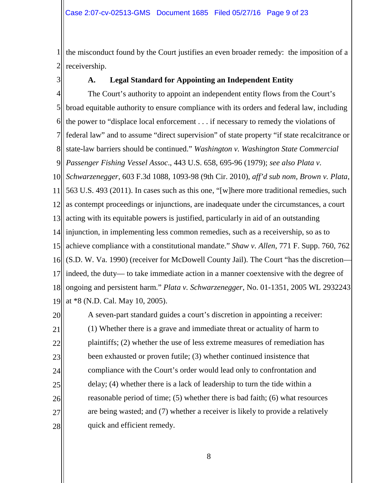1 2 the misconduct found by the Court justifies an even broader remedy: the imposition of a receivership.

3

# **A. Legal Standard for Appointing an Independent Entity**

4 5 6 7 8 9 *Passenger Fishing Vessel Assoc*., 443 U.S. 658, 695-96 (1979); *see also Plata v.*  10 *Schwarzenegger*, 603 F.3d 1088, 1093-98 (9th Cir. 2010), *aff'd sub nom, Brown v. Plata*, 11 12 as contempt proceedings or injunctions, are inadequate under the circumstances, a court 13 14 injunction, in implementing less common remedies, such as a receivership, so as to 15 16 17 18 19 The Court's authority to appoint an independent entity flows from the Court's broad equitable authority to ensure compliance with its orders and federal law, including the power to "displace local enforcement . . . if necessary to remedy the violations of federal law" and to assume "direct supervision" of state property "if state recalcitrance or state-law barriers should be continued." *Washington v. Washington State Commercial*  563 U.S. 493 (2011). In cases such as this one, "[w]here more traditional remedies, such acting with its equitable powers is justified, particularly in aid of an outstanding achieve compliance with a constitutional mandate." *Shaw v. Allen*, 771 F. Supp. 760, 762 (S.D. W. Va. 1990) (receiver for McDowell County Jail). The Court "has the discretion indeed, the duty— to take immediate action in a manner coextensive with the degree of ongoing and persistent harm." *Plata v. Schwarzenegger*, No. 01-1351, 2005 WL 2932243 at \*8 (N.D. Cal. May 10, 2005).

20 21 22 23 24 25 26 27 28 A seven-part standard guides a court's discretion in appointing a receiver: (1) Whether there is a grave and immediate threat or actuality of harm to plaintiffs; (2) whether the use of less extreme measures of remediation has been exhausted or proven futile; (3) whether continued insistence that compliance with the Court's order would lead only to confrontation and delay; (4) whether there is a lack of leadership to turn the tide within a reasonable period of time; (5) whether there is bad faith; (6) what resources are being wasted; and (7) whether a receiver is likely to provide a relatively quick and efficient remedy.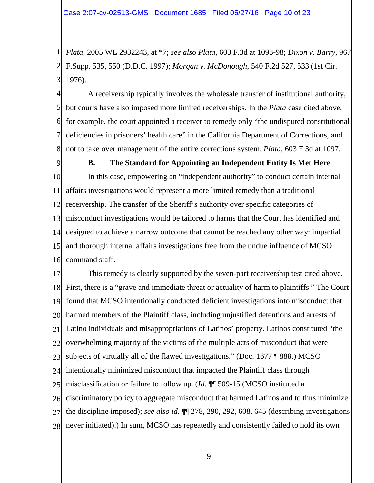1 2 3 *Plata*, 2005 WL 2932243, at \*7; *see also Plata,* 603 F.3d at 1093-98; *Dixon v. Barry*, 967 F.Supp. 535, 550 (D.D.C. 1997); *Morgan v. McDonough*, 540 F.2d 527, 533 (1st Cir. 1976).

4 5 6 7 8 A receivership typically involves the wholesale transfer of institutional authority, but courts have also imposed more limited receiverships. In the *Plata* case cited above, for example, the court appointed a receiver to remedy only "the undisputed constitutional deficiencies in prisoners' health care" in the California Department of Corrections, and not to take over management of the entire corrections system. *Plata*, 603 F.3d at 1097.

9

10

11

12

# **B. The Standard for Appointing an Independent Entity Is Met Here** In this case, empowering an "independent authority" to conduct certain internal affairs investigations would represent a more limited remedy than a traditional receivership. The transfer of the Sheriff's authority over specific categories of

13 14 15 16 misconduct investigations would be tailored to harms that the Court has identified and designed to achieve a narrow outcome that cannot be reached any other way: impartial and thorough internal affairs investigations free from the undue influence of MCSO command staff.

17 18 19 20 21 22 23 24 25 26 27 28 This remedy is clearly supported by the seven-part receivership test cited above. First, there is a "grave and immediate threat or actuality of harm to plaintiffs." The Court found that MCSO intentionally conducted deficient investigations into misconduct that harmed members of the Plaintiff class, including unjustified detentions and arrests of Latino individuals and misappropriations of Latinos' property. Latinos constituted "the overwhelming majority of the victims of the multiple acts of misconduct that were subjects of virtually all of the flawed investigations." (Doc. 1677 ¶ 888.) MCSO intentionally minimized misconduct that impacted the Plaintiff class through misclassification or failure to follow up. (*Id.* ¶¶ 509-15 (MCSO instituted a discriminatory policy to aggregate misconduct that harmed Latinos and to thus minimize the discipline imposed); *see also id.* ¶¶ 278, 290, 292, 608, 645 (describing investigations never initiated).) In sum, MCSO has repeatedly and consistently failed to hold its own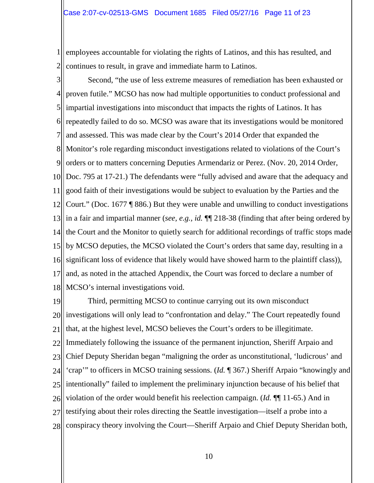1 2 employees accountable for violating the rights of Latinos, and this has resulted, and continues to result, in grave and immediate harm to Latinos.

3 4 5 6 7 8 9 10 Doc. 795 at 17-21.) The defendants were "fully advised and aware that the adequacy and 11 12 13 14 15 16 17 18 Second, "the use of less extreme measures of remediation has been exhausted or proven futile." MCSO has now had multiple opportunities to conduct professional and impartial investigations into misconduct that impacts the rights of Latinos. It has repeatedly failed to do so. MCSO was aware that its investigations would be monitored and assessed. This was made clear by the Court's 2014 Order that expanded the Monitor's role regarding misconduct investigations related to violations of the Court's orders or to matters concerning Deputies Armendariz or Perez. (Nov. 20, 2014 Order, good faith of their investigations would be subject to evaluation by the Parties and the Court." (Doc. 1677 ¶ 886.) But they were unable and unwilling to conduct investigations in a fair and impartial manner (*see, e.g., id.* ¶¶ 218-38 (finding that after being ordered by the Court and the Monitor to quietly search for additional recordings of traffic stops made by MCSO deputies, the MCSO violated the Court's orders that same day, resulting in a significant loss of evidence that likely would have showed harm to the plaintiff class)), and, as noted in the attached Appendix, the Court was forced to declare a number of MCSO's internal investigations void.

19 20 21 22 23 24 25 26 27 28 Third, permitting MCSO to continue carrying out its own misconduct investigations will only lead to "confrontation and delay." The Court repeatedly found that, at the highest level, MCSO believes the Court's orders to be illegitimate. Immediately following the issuance of the permanent injunction, Sheriff Arpaio and Chief Deputy Sheridan began "maligning the order as unconstitutional, 'ludicrous' and 'crap'" to officers in MCSO training sessions. (*Id.* ¶ 367.) Sheriff Arpaio "knowingly and intentionally" failed to implement the preliminary injunction because of his belief that violation of the order would benefit his reelection campaign. (*Id.* ¶¶ 11-65.) And in testifying about their roles directing the Seattle investigation—itself a probe into a conspiracy theory involving the Court—Sheriff Arpaio and Chief Deputy Sheridan both,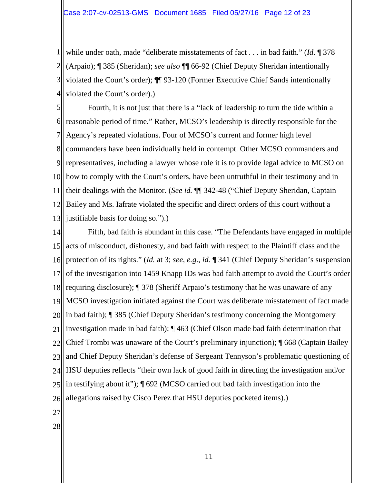1 2 3 4 while under oath, made "deliberate misstatements of fact . . . in bad faith." (*Id*. ¶ 378 (Arpaio); ¶ 385 (Sheridan); *see also* ¶¶ 66-92 (Chief Deputy Sheridan intentionally violated the Court's order); ¶¶ 93-120 (Former Executive Chief Sands intentionally violated the Court's order).)

5 6 7 8 9 representatives, including a lawyer whose role it is to provide legal advice to MCSO on 10 11 12 13 Fourth, it is not just that there is a "lack of leadership to turn the tide within a reasonable period of time." Rather, MCSO's leadership is directly responsible for the Agency's repeated violations. Four of MCSO's current and former high level commanders have been individually held in contempt. Other MCSO commanders and how to comply with the Court's orders, have been untruthful in their testimony and in their dealings with the Monitor. (*See id.* ¶¶ 342-48 ("Chief Deputy Sheridan, Captain Bailey and Ms. Iafrate violated the specific and direct orders of this court without a justifiable basis for doing so.").)

14 15 16 17 18 19 20 21 22 23 24 25 26 27 Fifth, bad faith is abundant in this case. "The Defendants have engaged in multiple acts of misconduct, dishonesty, and bad faith with respect to the Plaintiff class and the protection of its rights." (*Id.* at 3; *see, e.g*., *id.* ¶ 341 (Chief Deputy Sheridan's suspension of the investigation into 1459 Knapp IDs was bad faith attempt to avoid the Court's order requiring disclosure); ¶ 378 (Sheriff Arpaio's testimony that he was unaware of any MCSO investigation initiated against the Court was deliberate misstatement of fact made in bad faith); ¶ 385 (Chief Deputy Sheridan's testimony concerning the Montgomery investigation made in bad faith); ¶ 463 (Chief Olson made bad faith determination that Chief Trombi was unaware of the Court's preliminary injunction); ¶ 668 (Captain Bailey and Chief Deputy Sheridan's defense of Sergeant Tennyson's problematic questioning of HSU deputies reflects "their own lack of good faith in directing the investigation and/or in testifying about it"); ¶ 692 (MCSO carried out bad faith investigation into the allegations raised by Cisco Perez that HSU deputies pocketed items).)

- 
- 28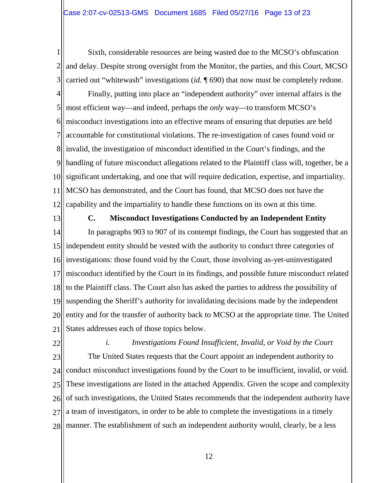1 2 3 Sixth, considerable resources are being wasted due to the MCSO's obfuscation and delay. Despite strong oversight from the Monitor, the parties, and this Court, MCSO carried out "whitewash" investigations (*id.* ¶ 690) that now must be completely redone.

4 5 6 7 8 9 10 11 12 Finally, putting into place an "independent authority" over internal affairs is the most efficient way—and indeed, perhaps the *only* way—to transform MCSO's misconduct investigations into an effective means of ensuring that deputies are held accountable for constitutional violations. The re-investigation of cases found void or invalid, the investigation of misconduct identified in the Court's findings, and the handling of future misconduct allegations related to the Plaintiff class will, together, be a significant undertaking, and one that will require dedication, expertise, and impartiality. MCSO has demonstrated, and the Court has found, that MCSO does not have the capability and the impartiality to handle these functions on its own at this time.

13

## **C. Misconduct Investigations Conducted by an Independent Entity**

14 15 16 17 18 19 20 21 In paragraphs 903 to 907 of its contempt findings, the Court has suggested that an independent entity should be vested with the authority to conduct three categories of investigations: those found void by the Court, those involving as-yet-uninvestigated misconduct identified by the Court in its findings, and possible future misconduct related to the Plaintiff class. The Court also has asked the parties to address the possibility of suspending the Sheriff's authority for invalidating decisions made by the independent entity and for the transfer of authority back to MCSO at the appropriate time. The United States addresses each of those topics below.

22

23 24 25 26 27 28 *i. Investigations Found Insufficient, Invalid, or Void by the Court* The United States requests that the Court appoint an independent authority to conduct misconduct investigations found by the Court to be insufficient, invalid, or void. These investigations are listed in the attached Appendix. Given the scope and complexity of such investigations, the United States recommends that the independent authority have a team of investigators, in order to be able to complete the investigations in a timely manner. The establishment of such an independent authority would, clearly, be a less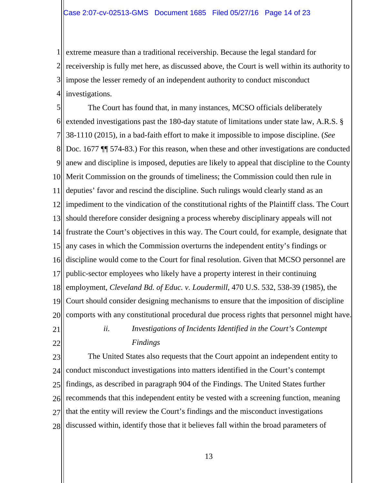1 2 3 4 extreme measure than a traditional receivership. Because the legal standard for receivership is fully met here, as discussed above, the Court is well within its authority to impose the lesser remedy of an independent authority to conduct misconduct investigations.

5 6 7 8 9 10 Merit Commission on the grounds of timeliness; the Commission could then rule in 11 12 impediment to the vindication of the constitutional rights of the Plaintiff class. The Court 13 14 15 16 17 18 19 20 21 The Court has found that, in many instances, MCSO officials deliberately extended investigations past the 180-day statute of limitations under state law, A.R.S. § 38-1110 (2015), in a bad-faith effort to make it impossible to impose discipline. (*See* Doc. 1677 ¶¶ 574-83.) For this reason, when these and other investigations are conducted anew and discipline is imposed, deputies are likely to appeal that discipline to the County deputies' favor and rescind the discipline. Such rulings would clearly stand as an should therefore consider designing a process whereby disciplinary appeals will not frustrate the Court's objectives in this way. The Court could, for example, designate that any cases in which the Commission overturns the independent entity's findings or discipline would come to the Court for final resolution. Given that MCSO personnel are public-sector employees who likely have a property interest in their continuing employment, *Cleveland Bd. of Educ. v. Loudermill*, 470 U.S. 532, 538-39 (1985), the Court should consider designing mechanisms to ensure that the imposition of discipline comports with any constitutional procedural due process rights that personnel might have. *ii. Investigations of Incidents Identified in the Court's Contempt* 

22

*Findings*

23 24 25 26 27 28 The United States also requests that the Court appoint an independent entity to conduct misconduct investigations into matters identified in the Court's contempt findings, as described in paragraph 904 of the Findings. The United States further recommends that this independent entity be vested with a screening function, meaning that the entity will review the Court's findings and the misconduct investigations discussed within, identify those that it believes fall within the broad parameters of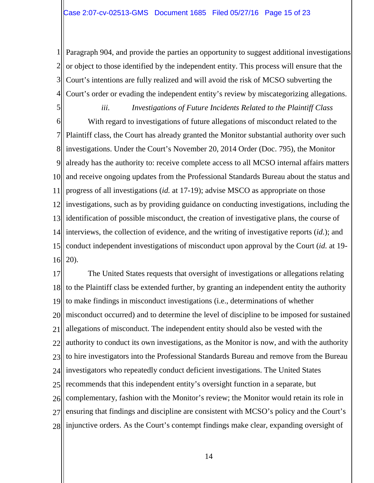1 2 3 4 Paragraph 904, and provide the parties an opportunity to suggest additional investigations or object to those identified by the independent entity. This process will ensure that the Court's intentions are fully realized and will avoid the risk of MCSO subverting the Court's order or evading the independent entity's review by miscategorizing allegations.

5 6 7 8 9 10 11 12 investigations, such as by providing guidance on conducting investigations, including the 13 14 interviews, the collection of evidence, and the writing of investigative reports (*id.*); and 15 16 *iii. Investigations of Future Incidents Related to the Plaintiff Class* With regard to investigations of future allegations of misconduct related to the Plaintiff class, the Court has already granted the Monitor substantial authority over such investigations. Under the Court's November 20, 2014 Order (Doc. 795), the Monitor already has the authority to: receive complete access to all MCSO internal affairs matters and receive ongoing updates from the Professional Standards Bureau about the status and progress of all investigations (*id.* at 17-19); advise MSCO as appropriate on those identification of possible misconduct, the creation of investigative plans, the course of conduct independent investigations of misconduct upon approval by the Court (*id.* at 19- 20).

17 18 19 20 21 22 23 24 25 26 27 28 injunctive orders. As the Court's contempt findings make clear, expanding oversight of The United States requests that oversight of investigations or allegations relating to the Plaintiff class be extended further, by granting an independent entity the authority to make findings in misconduct investigations (i.e., determinations of whether misconduct occurred) and to determine the level of discipline to be imposed for sustained allegations of misconduct. The independent entity should also be vested with the authority to conduct its own investigations, as the Monitor is now, and with the authority to hire investigators into the Professional Standards Bureau and remove from the Bureau investigators who repeatedly conduct deficient investigations. The United States recommends that this independent entity's oversight function in a separate, but complementary, fashion with the Monitor's review; the Monitor would retain its role in ensuring that findings and discipline are consistent with MCSO's policy and the Court's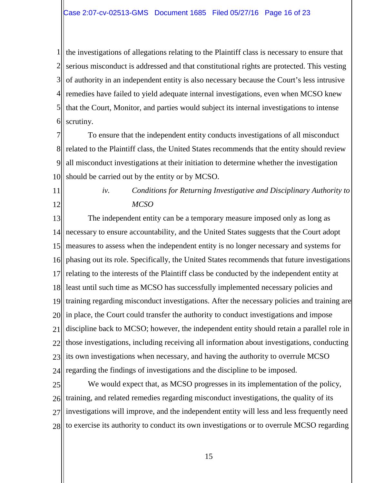1 2 3 4 5 6 the investigations of allegations relating to the Plaintiff class is necessary to ensure that serious misconduct is addressed and that constitutional rights are protected. This vesting of authority in an independent entity is also necessary because the Court's less intrusive remedies have failed to yield adequate internal investigations, even when MCSO knew that the Court, Monitor, and parties would subject its internal investigations to intense scrutiny.

7 8 9 10 To ensure that the independent entity conducts investigations of all misconduct related to the Plaintiff class, the United States recommends that the entity should review all misconduct investigations at their initiation to determine whether the investigation should be carried out by the entity or by MCSO.

11

12

*iv. Conditions for Returning Investigative and Disciplinary Authority to MCSO*

13 14 15 16 17 18 19 20 21 22 23 24 The independent entity can be a temporary measure imposed only as long as necessary to ensure accountability, and the United States suggests that the Court adopt measures to assess when the independent entity is no longer necessary and systems for phasing out its role. Specifically, the United States recommends that future investigations relating to the interests of the Plaintiff class be conducted by the independent entity at least until such time as MCSO has successfully implemented necessary policies and training regarding misconduct investigations. After the necessary policies and training are in place, the Court could transfer the authority to conduct investigations and impose discipline back to MCSO; however, the independent entity should retain a parallel role in those investigations, including receiving all information about investigations, conducting its own investigations when necessary, and having the authority to overrule MCSO regarding the findings of investigations and the discipline to be imposed.

25 26 27 28 We would expect that, as MCSO progresses in its implementation of the policy, training, and related remedies regarding misconduct investigations, the quality of its investigations will improve, and the independent entity will less and less frequently need to exercise its authority to conduct its own investigations or to overrule MCSO regarding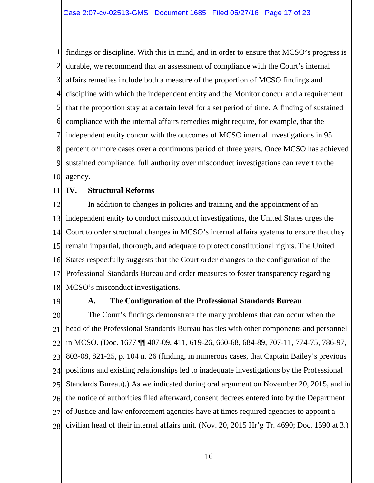1 2 3 4 5 6 7 8 9 10 findings or discipline. With this in mind, and in order to ensure that MCSO's progress is durable, we recommend that an assessment of compliance with the Court's internal affairs remedies include both a measure of the proportion of MCSO findings and discipline with which the independent entity and the Monitor concur and a requirement that the proportion stay at a certain level for a set period of time. A finding of sustained compliance with the internal affairs remedies might require, for example, that the independent entity concur with the outcomes of MCSO internal investigations in 95 percent or more cases over a continuous period of three years. Once MCSO has achieved sustained compliance, full authority over misconduct investigations can revert to the agency.

### 11 **IV. Structural Reforms**

12 13 14 15 16 17 18 In addition to changes in policies and training and the appointment of an independent entity to conduct misconduct investigations, the United States urges the Court to order structural changes in MCSO's internal affairs systems to ensure that they remain impartial, thorough, and adequate to protect constitutional rights. The United States respectfully suggests that the Court order changes to the configuration of the Professional Standards Bureau and order measures to foster transparency regarding MCSO's misconduct investigations.

19

### **A. The Configuration of the Professional Standards Bureau**

20 21 22 23 24 25 26 27 28 The Court's findings demonstrate the many problems that can occur when the head of the Professional Standards Bureau has ties with other components and personnel in MCSO. (Doc. 1677 ¶¶ 407-09, 411, 619-26, 660-68, 684-89, 707-11, 774-75, 786-97, 803-08, 821-25, p. 104 n. 26 (finding, in numerous cases, that Captain Bailey's previous positions and existing relationships led to inadequate investigations by the Professional Standards Bureau).) As we indicated during oral argument on November 20, 2015, and in the notice of authorities filed afterward, consent decrees entered into by the Department of Justice and law enforcement agencies have at times required agencies to appoint a civilian head of their internal affairs unit. (Nov. 20, 2015 Hr'g Tr. 4690; Doc. 1590 at 3.)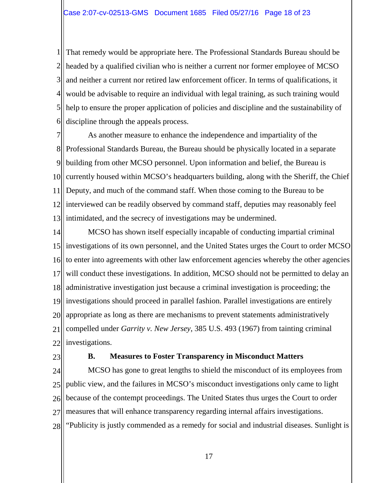1 2 3 4 5 6 That remedy would be appropriate here. The Professional Standards Bureau should be headed by a qualified civilian who is neither a current nor former employee of MCSO and neither a current nor retired law enforcement officer. In terms of qualifications, it would be advisable to require an individual with legal training, as such training would help to ensure the proper application of policies and discipline and the sustainability of discipline through the appeals process.

7 8 9 10 11 12 13 As another measure to enhance the independence and impartiality of the Professional Standards Bureau, the Bureau should be physically located in a separate building from other MCSO personnel. Upon information and belief, the Bureau is currently housed within MCSO's headquarters building, along with the Sheriff, the Chief Deputy, and much of the command staff. When those coming to the Bureau to be interviewed can be readily observed by command staff, deputies may reasonably feel intimidated, and the secrecy of investigations may be undermined.

14 15 16 17 18 19 20 21 22 MCSO has shown itself especially incapable of conducting impartial criminal investigations of its own personnel, and the United States urges the Court to order MCSO to enter into agreements with other law enforcement agencies whereby the other agencies will conduct these investigations. In addition, MCSO should not be permitted to delay an administrative investigation just because a criminal investigation is proceeding; the investigations should proceed in parallel fashion. Parallel investigations are entirely appropriate as long as there are mechanisms to prevent statements administratively compelled under *Garrity v. New Jersey*, 385 U.S. 493 (1967) from tainting criminal investigations.

23

### **B. Measures to Foster Transparency in Misconduct Matters**

24 25 26 27 28 MCSO has gone to great lengths to shield the misconduct of its employees from public view, and the failures in MCSO's misconduct investigations only came to light because of the contempt proceedings. The United States thus urges the Court to order measures that will enhance transparency regarding internal affairs investigations. "Publicity is justly commended as a remedy for social and industrial diseases. Sunlight is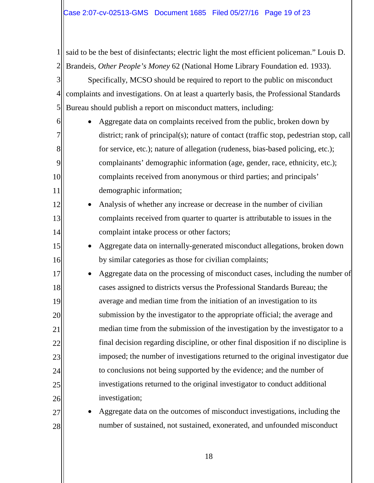1 2 said to be the best of disinfectants; electric light the most efficient policeman." Louis D. Brandeis, *Other People's Money* 62 (National Home Library Foundation ed. 1933).

3 4 5 Specifically, MCSO should be required to report to the public on misconduct complaints and investigations. On at least a quarterly basis, the Professional Standards Bureau should publish a report on misconduct matters, including:

6

7

8

9

10

11

12

13

14

15

16

27

28

• Aggregate data on complaints received from the public, broken down by district; rank of principal(s); nature of contact (traffic stop, pedestrian stop, call for service, etc.); nature of allegation (rudeness, bias-based policing, etc.); complainants' demographic information (age, gender, race, ethnicity, etc.); complaints received from anonymous or third parties; and principals' demographic information;

- Analysis of whether any increase or decrease in the number of civilian complaints received from quarter to quarter is attributable to issues in the complaint intake process or other factors;
	- Aggregate data on internally-generated misconduct allegations, broken down by similar categories as those for civilian complaints;

17 18 19 20 21 22 23 24 25 26 Aggregate data on the processing of misconduct cases, including the number of cases assigned to districts versus the Professional Standards Bureau; the average and median time from the initiation of an investigation to its submission by the investigator to the appropriate official; the average and median time from the submission of the investigation by the investigator to a final decision regarding discipline, or other final disposition if no discipline is imposed; the number of investigations returned to the original investigator due to conclusions not being supported by the evidence; and the number of investigations returned to the original investigator to conduct additional investigation;

• Aggregate data on the outcomes of misconduct investigations, including the number of sustained, not sustained, exonerated, and unfounded misconduct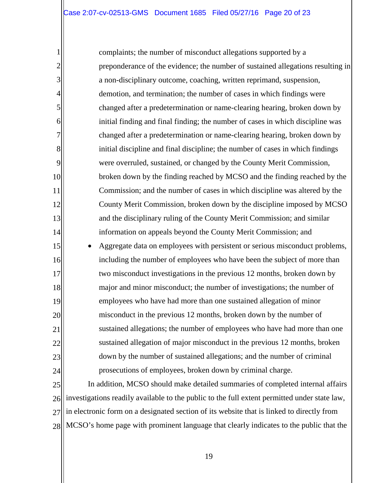1

2

3

4

5

6

7

8

9

10

11

12

13

14

15

16

17

18

19

20

21

22

23

24

complaints; the number of misconduct allegations supported by a preponderance of the evidence; the number of sustained allegations resulting in a non-disciplinary outcome, coaching, written reprimand, suspension, demotion, and termination; the number of cases in which findings were changed after a predetermination or name-clearing hearing, broken down by initial finding and final finding; the number of cases in which discipline was changed after a predetermination or name-clearing hearing, broken down by initial discipline and final discipline; the number of cases in which findings were overruled, sustained, or changed by the County Merit Commission, broken down by the finding reached by MCSO and the finding reached by the Commission; and the number of cases in which discipline was altered by the County Merit Commission, broken down by the discipline imposed by MCSO and the disciplinary ruling of the County Merit Commission; and similar information on appeals beyond the County Merit Commission; and • Aggregate data on employees with persistent or serious misconduct problems, including the number of employees who have been the subject of more than two misconduct investigations in the previous 12 months, broken down by major and minor misconduct; the number of investigations; the number of employees who have had more than one sustained allegation of minor misconduct in the previous 12 months, broken down by the number of sustained allegations; the number of employees who have had more than one sustained allegation of major misconduct in the previous 12 months, broken down by the number of sustained allegations; and the number of criminal

25 26 27 28 MCSO's home page with prominent language that clearly indicates to the public that the In addition, MCSO should make detailed summaries of completed internal affairs investigations readily available to the public to the full extent permitted under state law, in electronic form on a designated section of its website that is linked to directly from

prosecutions of employees, broken down by criminal charge.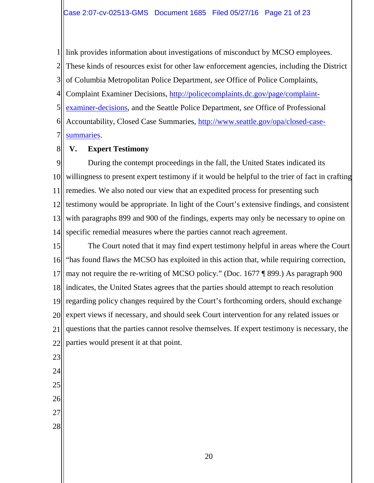1 2 3 4 5 6 7 link provides information about investigations of misconduct by MCSO employees. These kinds of resources exist for other law enforcement agencies, including the District of Columbia Metropolitan Police Department, *see* Office of Police Complaints, Complaint Examiner Decisions, [http://policecomplaints.dc.gov/page/complaint](http://policecomplaints.dc.gov/page/complaint-examiner-decisions)[examiner-decisions,](http://policecomplaints.dc.gov/page/complaint-examiner-decisions) and the Seattle Police Department, *see* Office of Professional Accountability, Closed Case Summaries, [http://www.seattle.gov/opa/closed-case](http://www.seattle.gov/opa/closed-case-summaries)[summaries.](http://www.seattle.gov/opa/closed-case-summaries)

#### 8 **V. Expert Testimony**

9 10 11 12 13 14 During the contempt proceedings in the fall, the United States indicated its willingness to present expert testimony if it would be helpful to the trier of fact in crafting remedies. We also noted our view that an expedited process for presenting such testimony would be appropriate. In light of the Court's extensive findings, and consistent with paragraphs 899 and 900 of the findings, experts may only be necessary to opine on specific remedial measures where the parties cannot reach agreement.

15 16 17 18 19 20 21 22 The Court noted that it may find expert testimony helpful in areas where the Court "has found flaws the MCSO has exploited in this action that, while requiring correction, may not require the re-writing of MCSO policy." (Doc. 1677 ¶ 899.) As paragraph 900 indicates, the United States agrees that the parties should attempt to reach resolution regarding policy changes required by the Court's forthcoming orders, should exchange expert views if necessary, and should seek Court intervention for any related issues or questions that the parties cannot resolve themselves. If expert testimony is necessary, the parties would present it at that point.

23

- 24
- 25
- 26
- 27
- 28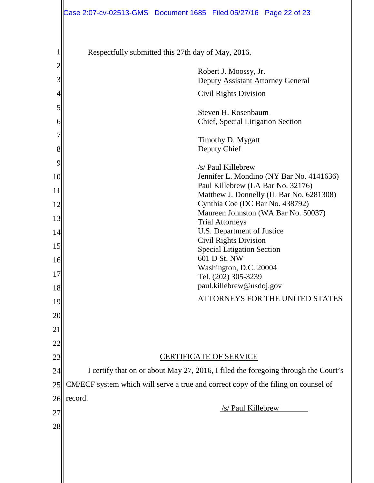|                | Case 2:07-cv-02513-GMS  Document 1685  Filed 05/27/16  Page 22 of 23               |  |  |  |
|----------------|------------------------------------------------------------------------------------|--|--|--|
| 1              | Respectfully submitted this 27th day of May, 2016.                                 |  |  |  |
| $\overline{c}$ | Robert J. Moossy, Jr.                                                              |  |  |  |
| 3              | Deputy Assistant Attorney General                                                  |  |  |  |
| 4              | <b>Civil Rights Division</b>                                                       |  |  |  |
| 5<br>6         | Steven H. Rosenbaum<br>Chief, Special Litigation Section                           |  |  |  |
| 7<br>8         | Timothy D. Mygatt<br>Deputy Chief                                                  |  |  |  |
| 9              | /s/ Paul Killebrew                                                                 |  |  |  |
| 10             | Jennifer L. Mondino (NY Bar No. 4141636)                                           |  |  |  |
| 11             | Paul Killebrew (LA Bar No. 32176)<br>Matthew J. Donnelly (IL Bar No. 6281308)      |  |  |  |
| 12             | Cynthia Coe (DC Bar No. 438792)                                                    |  |  |  |
| 13             | Maureen Johnston (WA Bar No. 50037)<br><b>Trial Attorneys</b>                      |  |  |  |
| 14             | U.S. Department of Justice<br><b>Civil Rights Division</b>                         |  |  |  |
| 15             | <b>Special Litigation Section</b>                                                  |  |  |  |
| 16             | 601 D St. NW<br>Washington, D.C. 20004                                             |  |  |  |
| 17             | Tel. (202) 305-3239                                                                |  |  |  |
| 18             | paul.killebrew@usdoj.gov                                                           |  |  |  |
| 19             | ATTORNEYS FOR THE UNITED STATES                                                    |  |  |  |
| 20             |                                                                                    |  |  |  |
| 21             |                                                                                    |  |  |  |
| 22             |                                                                                    |  |  |  |
| 23             | <b>CERTIFICATE OF SERVICE</b>                                                      |  |  |  |
| 24             | I certify that on or about May 27, 2016, I filed the foregoing through the Court's |  |  |  |
| 25             | CM/ECF system which will serve a true and correct copy of the filing on counsel of |  |  |  |
| 26             | record.<br>/s/ Paul Killebrew                                                      |  |  |  |
| 27             |                                                                                    |  |  |  |
| 28             |                                                                                    |  |  |  |
|                |                                                                                    |  |  |  |
|                |                                                                                    |  |  |  |